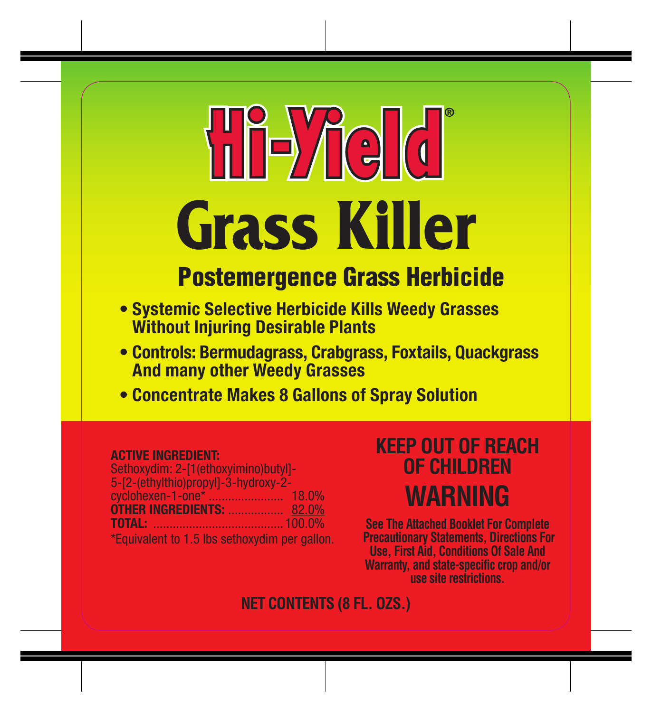# **Hi-Yield Grass Killer**

# Postemergence Grass Herbicide

- Systemic Selective Herbicide Kills Weedy Grasses Without Injuring Desirable Plants
- Controls: Bermudagrass, Crabgrass, Foxtails, Quackgrass And many other Weedy Grasses
- Concentrate Makes 8 Gallons of Spray Solution

#### ACTIVE INGREDIENT:

| Sethoxydim: 2-[1(ethoxyimino)butyl]- |       |
|--------------------------------------|-------|
| 5-[2-(ethylthio)propyl]-3-hydroxy-2- |       |
|                                      |       |
| <b>OTHER INGREDIENTS: </b>           | 82.0% |
|                                      |       |

\*Equivalent to 1.5 lbs sethoxydim per gallon.

# **KEEP OUT OF REACH OF CHILDREN WARNING**

**See The Attached Booklet For Complete Precautionary Statements, Directions For Use, First Aid, Conditions Of Sale And Warranty, and state-specific crop and/or use site restrictions.**

**NET CONTENTS (8 FL. OZS.)**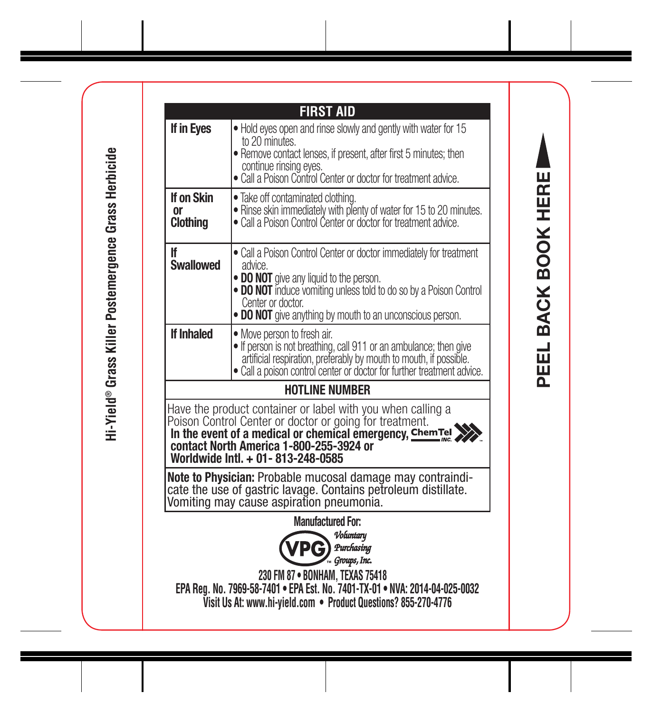Hi-Yield® Grass Killer Postemergence Grass Herbicide **Hi-Yield® Grass Killer Postemergence Grass Herbicide**

| If in Eves                   | <b>FIRST AID</b><br>. Hold eves open and rinse slowly and gently with water for 15<br>to 20 minutes<br>. Remove contact lenses, if present, after first 5 minutes; then<br>continue rinsing eyes.<br>. Call a Poison Control Center or doctor for treatment advice.            |
|------------------------------|--------------------------------------------------------------------------------------------------------------------------------------------------------------------------------------------------------------------------------------------------------------------------------|
| If on Skin<br>Ωr<br>Clothing | . Take off contaminated clothing.<br>. Rinse skin immediately with plenty of water for 15 to 20 minutes.<br>. Call a Poison Control Center or doctor for treatment advice.                                                                                                     |
| lf<br>Swallowed              | . Call a Poison Control Center or doctor immediately for treatment<br>solvhe<br>. DO NOT give any liquid to the person.<br>. DO NOT induce vomiting unless told to do so by a Poison Control<br>Center or doctor.<br>. DO NOT give anything by mouth to an unconscious person. |
| If Inhaled                   | . Move person to fresh air.<br>. If person is not breathing, call 911 or an ambulance; then give<br>artificial respiration, preferably by mouth to mouth, if possible.<br>. Call a poison control center or doctor for further treatment advice.                               |
|                              | <b>HOTLINE NUMBER</b>                                                                                                                                                                                                                                                          |
|                              | Have the product container or label with you when calling a<br>Poison Control Center or doctor or going for treatment.<br>In the event of a medical or chemical emergency, ChemTel<br>contact North America 1-800-255-3924 or<br>Worldwide Intl. + 01-813-248-0585             |
|                              | Note to Physician: Probable mucosal damage may contraindi-<br>cate the use of gastric lavage. Contains petroleum distillate.<br>Vomiting may cause aspiration pneumonia.                                                                                                       |
|                              | <b>Manufactured For:</b><br>Voluntary<br>Purchasing<br>Groups, Inc.                                                                                                                                                                                                            |
|                              | 230 FM 87 . BONHAM, TEXAS 75418<br>EPA Rea. No. 7969-58-7401 . EPA Est. No. 7401-TX-01 . NVA: 2014-04-025-0032<br>Visit Us At: www.hi-vield.com • Product Questions? 855-270-4776                                                                                              |

PEEL BACK BOOK HERE PEEL BACK BOOK HERE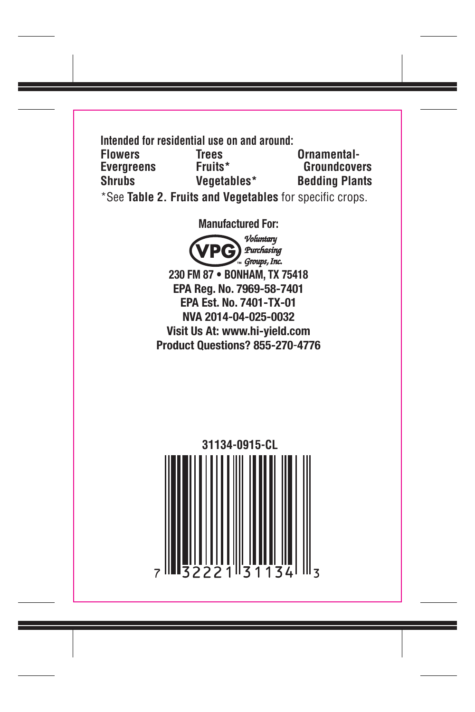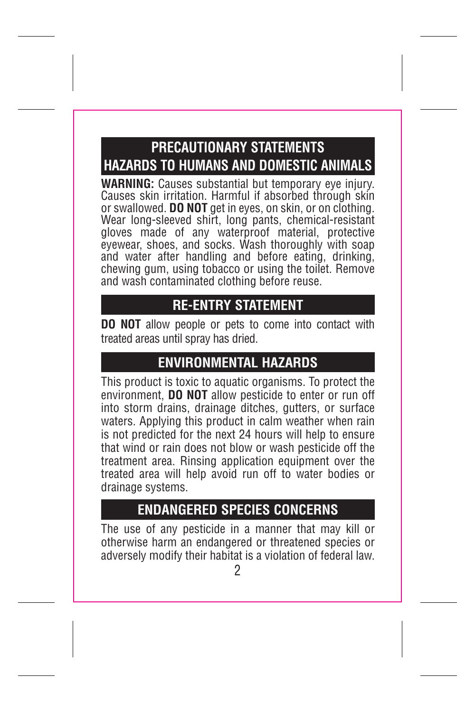## **PRECAUTIONARY STATEMENTS HAZARDS TO HUMANS AND DOMESTIC ANIMALS**

**WARNING:** Causes substantial but temporary eye injury. Causes skin irritation. Harmful if absorbed through skin or swallowed. **DO NOT** get in eyes, on skin, or on clothing. Wear long-sleeved shirt, long pants, chemical-resistant gloves made of any waterproof material, protective eyewear, shoes, and socks. Wash thoroughly with soap and water after handling and before eating, drinking, chewing gum, using tobacco or using the toilet. Remove and wash contaminated clothing before reuse.

## **RE-ENTRY STATEMENT**

**DO NOT** allow people or pets to come into contact with treated areas until spray has dried.

#### **ENVIRONMENTAL HAZARDS**

This product is toxic to aquatic organisms. To protect the environment, **DO NOT** allow pesticide to enter or run off into storm drains, drainage ditches, gutters, or surface waters. Applying this product in calm weather when rain is not predicted for the next 24 hours will help to ensure that wind or rain does not blow or wash pesticide off the treatment area. Rinsing application equipment over the treated area will help avoid run off to water bodies or drainage systems.

#### **ENDANGERED SPECIES CONCERNS**

The use of any pesticide in a manner that may kill or otherwise harm an endangered or threatened species or adversely modify their habitat is a violation of federal law.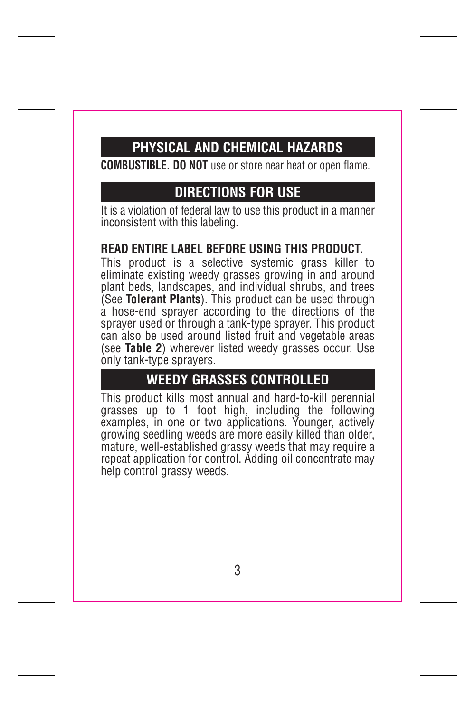## **PHYSICAL AND CHEMICAL HAZARDS**

**COMBUSTIBLE. DO NOT** use or store near heat or open flame.

#### **DIRECTIONS FOR USE**

It is a violation of federal law to use this product in a manner inconsistent with this labeling.

#### **READ ENTIRE LABEL BEFORE USING THIS PRODUCT.**

This product is a selective systemic grass killer to eliminate existing weedy grasses growing in and around plant beds, landscapes, and individual shrubs, and trees (See **Tolerant Plants**). This product can be used through a hose-end sprayer according to the directions of the sprayer used or through a tank-type sprayer. This product can also be used around listed fruit and vegetable areas (see **Table 2**) wherever listed weedy grasses occur. Use only tank-type sprayers.

#### **WEEDY GRASSES CONTROLLED**

This product kills most annual and hard-to-kill perennial grasses up to 1 foot high, including the following examples, in one or two applications. Younger, actively growing seedling weeds are more easily killed than older, mature, well-established grassy weeds that may require a repeat application for control. Adding oil concentrate may help control grassy weeds.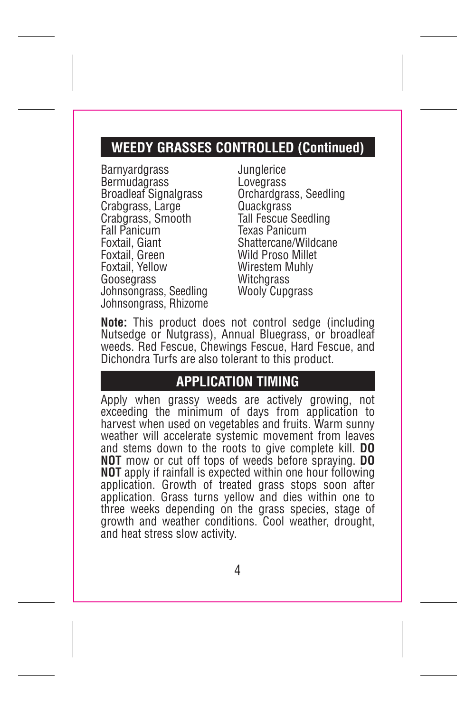#### **WEEDY GRASSES CONTROLLED (Continued)**

**Barnyardgrass Bermudagrass** Broadleaf Signalgrass Crabgrass, Large Crabgrass, Smooth Fall Panicum Foxtail, Giant Foxtail, Green Foxtail, Yellow Goosegrass Johnsongrass, Seedling Johnsongrass, Rhizome

Junglerice Lovegrass Orchardgrass, Seedling Quackgrass Tall Fescue Seedling Texas Panicum Shattercane/Wildcane Wild Proso Millet Wirestem Muhly Witchgrass Wooly Cupgrass

**Note:** This product does not control sedge (including Nutsedge or Nutgrass), Annual Bluegrass, or broadleaf weeds. Red Fescue, Chewings Fescue, Hard Fescue, and Dichondra Turfs are also tolerant to this product.

#### **APPLICATION TIMING**

Apply when grassy weeds are actively growing, not exceeding the minimum of days from application to harvest when used on vegetables and fruits. Warm sunny weather will accelerate systemic movement from leaves and stems down to the roots to give complete kill. **DO NOT** mow or cut off tops of weeds before spraying. **DO NOT** apply if rainfall is expected within one hour following application. Growth of treated grass stops soon after application. Grass turns yellow and dies within one to three weeks depending on the grass species, stage of growth and weather conditions. Cool weather, drought, and heat stress slow activity.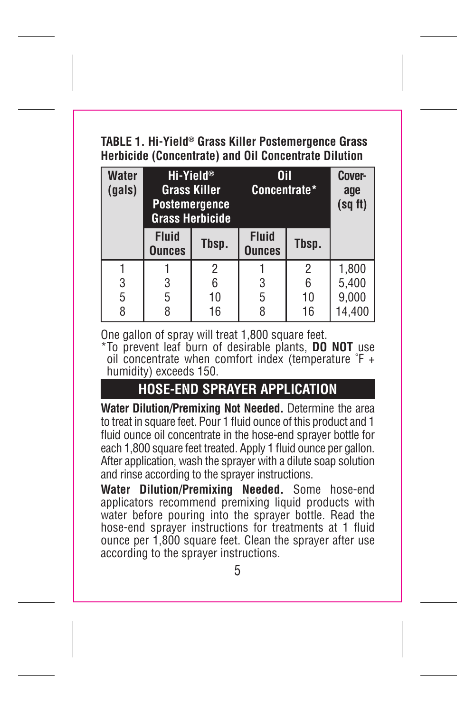#### **TABLE 1. Hi-Yield® Grass Killer Postemergence Grass Herbicide (Concentrate) and Oil Concentrate Dilution**

| <b>Water</b><br>(qals) | Hi-Yield®<br>Postemergence<br><b>Grass Herbicide</b> | <b>Grass Killer</b> | Oil<br>Concentrate*           |                | Cover-<br>age<br>(sqft) |
|------------------------|------------------------------------------------------|---------------------|-------------------------------|----------------|-------------------------|
|                        | <b>Fluid</b><br><b>Ounces</b>                        | Thsp.               | <b>Fluid</b><br><b>Ounces</b> | Tbsp.          |                         |
|                        |                                                      | $\overline{2}$      |                               | $\overline{2}$ | 1,800                   |
| 3                      | 3                                                    | 6                   | 3                             | 6              | 5.400                   |
| 5                      | 5                                                    | 10                  | 5                             | 10             | 9,000                   |
| 8                      | 8                                                    | 16                  | 8                             | 16             | 14.400                  |

One gallon of spray will treat 1,800 square feet.

\*To prevent leaf burn of desirable plants, **DO NOT** use oil concentrate when comfort index (temperature ˚F + humidity) exceeds 150.

## **HOSE-END SPRAYER APPLICATION**

**Water Dilution/Premixing Not Needed.** Determine the area to treat in square feet. Pour 1 fluid ounce of this product and 1 fluid ounce oil concentrate in the hose-end sprayer bottle for each 1,800 square feet treated. Apply 1 fluid ounce per gallon. After application, wash the sprayer with a dilute soap solution and rinse according to the sprayer instructions.

**Water Dilution/Premixing Needed.** Some hose-end applicators recommend premixing liquid products with water before pouring into the sprayer bottle. Read the hose-end sprayer instructions for treatments at 1 fluid ounce per 1,800 square feet. Clean the sprayer after use according to the sprayer instructions.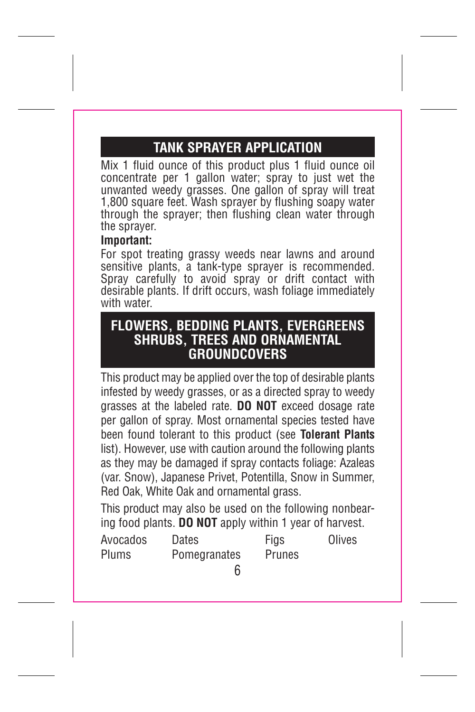## **TANK SPRAYER APPLICATION**

Mix 1 fluid ounce of this product plus 1 fluid ounce oil concentrate per 1 gallon water; spray to just wet the unwanted weedy grasses. One gallon of spray will treat 1,800 square feet. Wash sprayer by flushing soapy water through the sprayer; then flushing clean water through the sprayer.

#### **Important:**

For spot treating grassy weeds near lawns and around sensitive plants, a tank-type sprayer is recommended. Spray carefully to avoid spray or drift contact with desirable plants. If drift occurs, wash foliage immediately with water.

#### **FLOWERS, BEDDING PLANTS, EVERGREENS SHRUBS, TREES AND ORNAMENTAL GROUNDCOVERS**

This product may be applied over the top of desirable plants infested by weedy grasses, or as a directed spray to weedy grasses at the labeled rate. **DO NOT** exceed dosage rate per gallon of spray. Most ornamental species tested have been found tolerant to this product (see **Tolerant Plants** list). However, use with caution around the following plants as they may be damaged if spray contacts foliage: Azaleas (var. Snow), Japanese Privet, Potentilla, Snow in Summer, Red Oak, White Oak and ornamental grass.

This product may also be used on the following nonbearing food plants. **DO NOT** apply within 1 year of harvest.

| Avocados | Dates        | Fias   | Olives |
|----------|--------------|--------|--------|
| Plums    | Pomegranates | Prunes |        |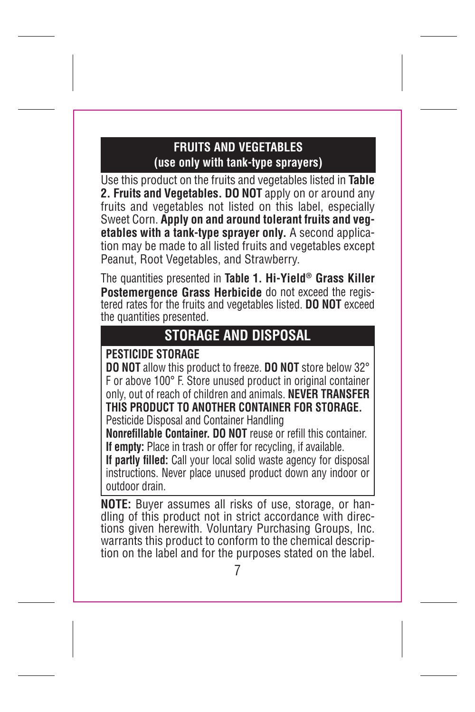#### **FRUITS AND VEGETABLES (use only with tank-type sprayers)**

Use this product on the fruits and vegetables listed in **Table 2. Fruits and Vegetables. DO NOT** apply on or around any fruits and vegetables not listed on this label, especially Sweet Corn. **Apply on and around tolerant fruits and vegetables with a tank-type sprayer only.** A second application may be made to all listed fruits and vegetables except Peanut, Root Vegetables, and Strawberry.

The quantities presented in **Table 1. Hi-Yield® Grass Killer Postemergence Grass Herbicide** do not exceed the registered rates for the fruits and vegetables listed. **DO NOT** exceed the quantities presented.

## **STORAGE AND DISPOSAL**

#### **PESTICIDE STORAGE**

**DO NOT** allow this product to freeze. **DO NOT** store below 32° F or above 100° F. Store unused product in original container only, out of reach of children and animals. **NEVER TRANSFER THIS PRODUCT TO ANOTHER CONTAINER FOR STORAGE.** Pesticide Disposal and Container Handling

**Nonrefillable Container. DO NOT** reuse or refill this container. **If empty:** Place in trash or offer for recycling, if available.

**If partly filled:** Call your local solid waste agency for disposal instructions. Never place unused product down any indoor or outdoor drain.

**NOTE:** Buyer assumes all risks of use, storage, or handling of this product not in strict accordance with directions given herewith. Voluntary Purchasing Groups, Inc. warrants this product to conform to the chemical description on the label and for the purposes stated on the label.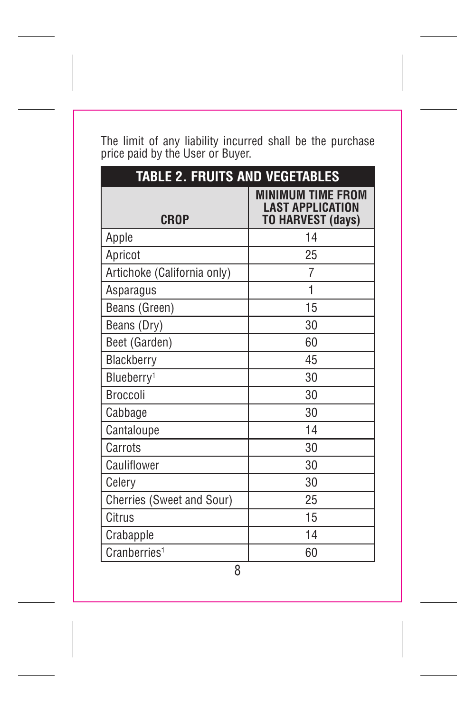| <b>TABLE 2. FRUITS AND VEGETABLES</b> |                                                                                 |
|---------------------------------------|---------------------------------------------------------------------------------|
| <b>CROP</b>                           | <b>MINIMUM TIME FROM</b><br><b>LAST APPLICATION</b><br><b>TO HARVEST (days)</b> |
| Apple                                 | 14                                                                              |
| Apricot                               | 25                                                                              |
| Artichoke (California only)           | $\overline{7}$                                                                  |
| Asparagus                             | 1                                                                               |
| Beans (Green)                         | 15                                                                              |
| Beans (Dry)                           | 30                                                                              |
| Beet (Garden)                         | 60                                                                              |
| Blackberry                            | 45                                                                              |
| Blueberry <sup>1</sup>                | 30                                                                              |
| Broccoli                              | 30                                                                              |
| Cabbage                               | 30                                                                              |
| Cantaloupe                            | 14                                                                              |
| Carrots                               | 30                                                                              |
| Cauliflower                           | 30                                                                              |
| Celery                                | 30                                                                              |
| Cherries (Sweet and Sour)             | 25                                                                              |
| Citrus                                | 15                                                                              |
| Crabapple                             | 14                                                                              |
| Cranberries <sup>1</sup>              | 60                                                                              |
| 8                                     |                                                                                 |

The limit of any liability incurred shall be the purchase price paid by the User or Buyer.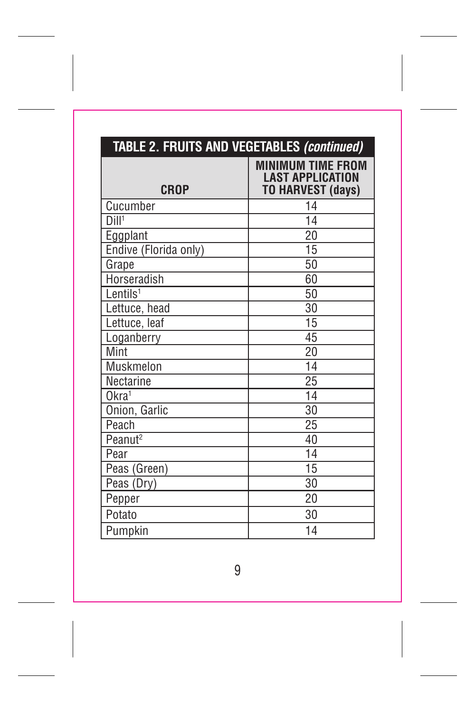| TABLE 2. FRUITS AND VEGETABLES (continued) |                                                                                 |  |  |  |
|--------------------------------------------|---------------------------------------------------------------------------------|--|--|--|
| <b>CROP</b>                                | <b>MINIMUM TIME FROM</b><br><b>LAST APPLICATION</b><br><b>TO HARVEST (days)</b> |  |  |  |
| Cucumber                                   | 14                                                                              |  |  |  |
| Dill <sup>1</sup>                          | 14                                                                              |  |  |  |
| Eggplant                                   | 20                                                                              |  |  |  |
| Endive (Florida only)                      | 15                                                                              |  |  |  |
| Grape                                      | 50                                                                              |  |  |  |
| Horseradish                                | 60                                                                              |  |  |  |
| Lentils <sup>1</sup>                       | 50                                                                              |  |  |  |
| Lettuce, head                              | 30                                                                              |  |  |  |
| Lettuce, leaf                              | $\overline{1}5$                                                                 |  |  |  |
| Loganberry                                 | 45                                                                              |  |  |  |
| Mint                                       | 20                                                                              |  |  |  |
| Muskmelon                                  | 14                                                                              |  |  |  |
| Nectarine                                  | 25                                                                              |  |  |  |
| Okra <sup>1</sup>                          | 14                                                                              |  |  |  |
| Onion, Garlic                              | $\overline{30}$                                                                 |  |  |  |
| Peach                                      | 25                                                                              |  |  |  |
| Peanut <sup>2</sup>                        | 40                                                                              |  |  |  |
| Pear                                       | 14                                                                              |  |  |  |
| Peas (Green)                               | 15                                                                              |  |  |  |
| Peas (Dry)                                 | 30                                                                              |  |  |  |
| Pepper                                     | 20                                                                              |  |  |  |
| Potato                                     | 30                                                                              |  |  |  |
| Pumpkin                                    | 14                                                                              |  |  |  |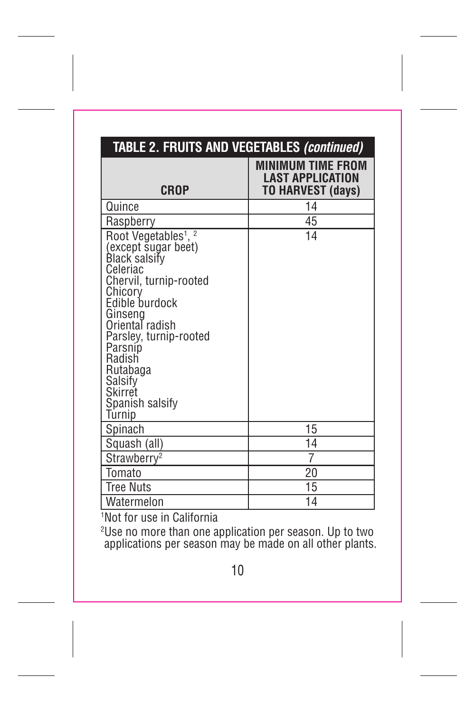| TABLE 2. FRUITS AND VEGETABLES (continued)                                                                                                                                                                                                                                                    |                                                                                 |  |  |  |  |
|-----------------------------------------------------------------------------------------------------------------------------------------------------------------------------------------------------------------------------------------------------------------------------------------------|---------------------------------------------------------------------------------|--|--|--|--|
| <b>CROP</b>                                                                                                                                                                                                                                                                                   | <b>MINIMUM TIME FROM</b><br><b>LAST APPLICATION</b><br><b>TO HARVEST (days)</b> |  |  |  |  |
| Quince                                                                                                                                                                                                                                                                                        | 14                                                                              |  |  |  |  |
| Raspberry                                                                                                                                                                                                                                                                                     | 45                                                                              |  |  |  |  |
| Root Vegetables <sup>1, 2</sup><br>(except sugar beet)<br>Black salsify<br>Celeriac<br>Chervil, turnip-rooted<br>Chicory<br><b>Edible burdock</b><br>Ginseng<br>Oriental radish<br>Parsley, turnip-rooted<br>Parsníp<br>Radish<br>Rutabaga<br>Salsify<br>Skirret<br>Spanish salsify<br>Túrnip | 14                                                                              |  |  |  |  |
| Spinach                                                                                                                                                                                                                                                                                       | 15                                                                              |  |  |  |  |
| Squash (all)                                                                                                                                                                                                                                                                                  | 14                                                                              |  |  |  |  |
| Strawberry <sup>2</sup>                                                                                                                                                                                                                                                                       | 7                                                                               |  |  |  |  |
| Tomato                                                                                                                                                                                                                                                                                        | 20                                                                              |  |  |  |  |
| <b>Tree Nuts</b>                                                                                                                                                                                                                                                                              | 15                                                                              |  |  |  |  |
| Watermelon                                                                                                                                                                                                                                                                                    | 14                                                                              |  |  |  |  |

1 Not for use in California

2 Use no more than one application per season. Up to two applications per season may be made on all other plants.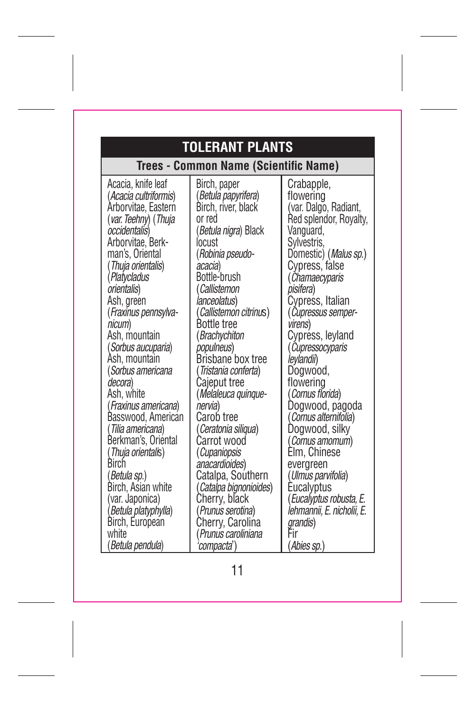| <b>TOLERANT PLANTS</b> |  |  |
|------------------------|--|--|
|                        |  |  |

#### **Trees - Common Name (Scientific Name)**

Acacia, knife leaf (*Acacia cultriformis*) Arborvitae, Eastern (*var. Teehny*) (*Thuja occidentalis*) Arborvitae, Berk man's, Oriental (*Thuja orientalis*) (*Platycladus orientalis*) Ash, green (*Fraxinus pennsylva nicum*) Ash, mountain (*Sorbus aucuparia*) Ash, mountain (*Sorbus americana decora*) Ash, white (*Fraxinus americana*) Basswood, American (*Tilia americana*) Berkman's, Oriental (*Thuja orientali*s) Birch (*Betula sp.*) Birch, Asian white (var. Japonica) (*Betula platyphylla*) Birch, European white (*Betula pendula*)

Birch, paper (*Betula papyrifera*) Birch, river, black or red (*Betula nigra*) Black locust (*Robinia pseudo acacia*) Bottle-brush (*Callistemon lanceolatus*) (*Callistemon citrinu*s) Bottle tree (*Brachychiton populneus*) Brisbane box tree (*Tristania conferta*) Cajeput tree (*Melaleuca quinque nervia*) Carob tree (*Ceratonia siliqua*) Carrot wood (*Cupaniopsis anacardioides*) Catalpa, Southern (*Catalpa bignonioides*) Cherry, black (*Prunus serotina*) Cherry, Carolina (*Prunus caroliniana 'compacta*')

Crabapple, flowering (var. Dalgo, Radiant, Red splendor, Royalty, Vanguard, Sylvestris, Domestic) (*Malus sp.*) Cypress, false (*Chamaecyparis pisifera*) Cypress, Italian (*Cupressus semper virens*) Cypress, leyland (*Cupressocyparis leylandii*) Dogwood, flowering (*Cornus florida*) Dogwood, pagoda (*Cornus alternifolia*) Dogwood, silky (*Cornus amomum*) Elm, Chinese evergreen (*Ulmus parvifolia*) **Eucalvotus** (*Eucalyptus robusta, E. lehmannii, E. nicholii, E. grandis*) Fir (*Abies sp.*)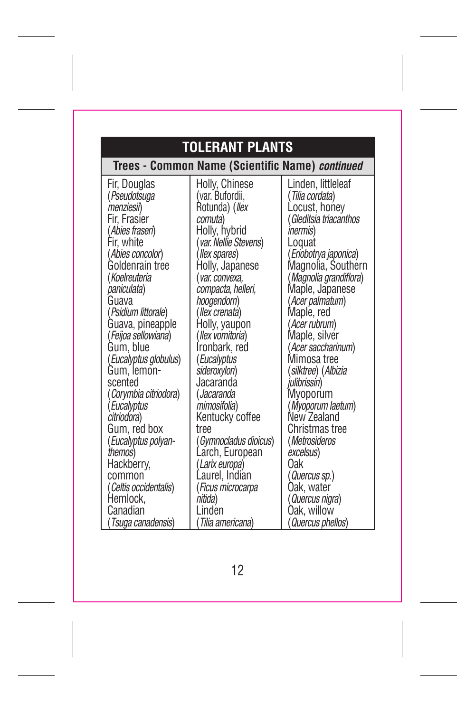| TOLERANT PLANTS |
|-----------------|
|-----------------|

## **Trees - Common Name (Scientific Name)** *continued*

| Fir, Douglas<br>(Pseudotsuga<br>menziesii)<br>Fir. Frasíer<br>(Abies fraseri)<br>Fir. white<br>(Abies concolor)<br>Goldenrain tree<br>(Koelreuteria<br>paniculata)<br>Guava<br>(Psidium littorale)<br>Guava, pineapple<br>(Feijoa sellowiana)<br>Gum, blue<br>(Eucalyptus globulus)<br>Gum. lemon-<br>scented | Holly, Chinese<br>(var. Bufordii.<br>Rotunda) (llex<br>comuta)<br>Holly, hybrid<br>var. Nellie Stevens)<br>(lex spares)<br>Holly, Japanese<br>(var. convexa.<br>compacta, helleri,<br>hooaendom)<br>(Ilex crenata)<br>Holly, yaupon<br>(Ilex vomitoria)<br>fronbark, red<br>(Eucalyptus<br>sideroxylon)<br>Jacaranda | Linden, littleleaf<br>(Tilia cordata)<br>Locust, honey<br>(Gleditsia triacanthos<br><i>inermis</i> )<br>Loguat<br>(Eriobotrya japonica)<br>Magnolia, Southern<br>(Magnolia grandiflora)<br>Maple, Japanese<br>(Acer palmatum)<br>Maple, red<br>(Acer rubrum)<br>Maple, silver<br>(Acer saccharinum)<br>Mimosa tree<br>(silktree) (Albizia<br>julibrissin) |
|---------------------------------------------------------------------------------------------------------------------------------------------------------------------------------------------------------------------------------------------------------------------------------------------------------------|----------------------------------------------------------------------------------------------------------------------------------------------------------------------------------------------------------------------------------------------------------------------------------------------------------------------|-----------------------------------------------------------------------------------------------------------------------------------------------------------------------------------------------------------------------------------------------------------------------------------------------------------------------------------------------------------|
|                                                                                                                                                                                                                                                                                                               |                                                                                                                                                                                                                                                                                                                      |                                                                                                                                                                                                                                                                                                                                                           |
|                                                                                                                                                                                                                                                                                                               |                                                                                                                                                                                                                                                                                                                      |                                                                                                                                                                                                                                                                                                                                                           |
|                                                                                                                                                                                                                                                                                                               |                                                                                                                                                                                                                                                                                                                      |                                                                                                                                                                                                                                                                                                                                                           |
|                                                                                                                                                                                                                                                                                                               |                                                                                                                                                                                                                                                                                                                      |                                                                                                                                                                                                                                                                                                                                                           |
|                                                                                                                                                                                                                                                                                                               |                                                                                                                                                                                                                                                                                                                      |                                                                                                                                                                                                                                                                                                                                                           |
|                                                                                                                                                                                                                                                                                                               |                                                                                                                                                                                                                                                                                                                      |                                                                                                                                                                                                                                                                                                                                                           |
|                                                                                                                                                                                                                                                                                                               |                                                                                                                                                                                                                                                                                                                      |                                                                                                                                                                                                                                                                                                                                                           |
|                                                                                                                                                                                                                                                                                                               |                                                                                                                                                                                                                                                                                                                      |                                                                                                                                                                                                                                                                                                                                                           |
|                                                                                                                                                                                                                                                                                                               |                                                                                                                                                                                                                                                                                                                      |                                                                                                                                                                                                                                                                                                                                                           |
| (Corymbia citriodora)                                                                                                                                                                                                                                                                                         | (Jacaranda                                                                                                                                                                                                                                                                                                           | Myoporum                                                                                                                                                                                                                                                                                                                                                  |
| (Eucalvotus                                                                                                                                                                                                                                                                                                   | mimosifolia)                                                                                                                                                                                                                                                                                                         | (Myoporum laetum)                                                                                                                                                                                                                                                                                                                                         |
| citriodora)                                                                                                                                                                                                                                                                                                   | Kentucky coffee                                                                                                                                                                                                                                                                                                      | New Zealand                                                                                                                                                                                                                                                                                                                                               |
| Gum, red box                                                                                                                                                                                                                                                                                                  | tree                                                                                                                                                                                                                                                                                                                 | Christmas tree                                                                                                                                                                                                                                                                                                                                            |
| (Eucalyptus polyan-                                                                                                                                                                                                                                                                                           | Gymnocladus dioicus)                                                                                                                                                                                                                                                                                                 | (Metrosideros                                                                                                                                                                                                                                                                                                                                             |
| themos)                                                                                                                                                                                                                                                                                                       | Larch, European                                                                                                                                                                                                                                                                                                      | excelsus)                                                                                                                                                                                                                                                                                                                                                 |
| Hackberry.                                                                                                                                                                                                                                                                                                    | (Larix europa)                                                                                                                                                                                                                                                                                                       | 0ak                                                                                                                                                                                                                                                                                                                                                       |
| common                                                                                                                                                                                                                                                                                                        | Laurel, Indian                                                                                                                                                                                                                                                                                                       | (Quercus sp.)                                                                                                                                                                                                                                                                                                                                             |
| (Celtis occidentalis)                                                                                                                                                                                                                                                                                         | (Ficus microcarpa                                                                                                                                                                                                                                                                                                    | Oak, water                                                                                                                                                                                                                                                                                                                                                |
| Hemlock,                                                                                                                                                                                                                                                                                                      | nitida)<br>Linden                                                                                                                                                                                                                                                                                                    | (Quercus nigra)                                                                                                                                                                                                                                                                                                                                           |
| Canadian                                                                                                                                                                                                                                                                                                      |                                                                                                                                                                                                                                                                                                                      | Oak. willow                                                                                                                                                                                                                                                                                                                                               |
| (Tsuga canadensis)                                                                                                                                                                                                                                                                                            | Tilia americana)                                                                                                                                                                                                                                                                                                     | (Quercus phellos)                                                                                                                                                                                                                                                                                                                                         |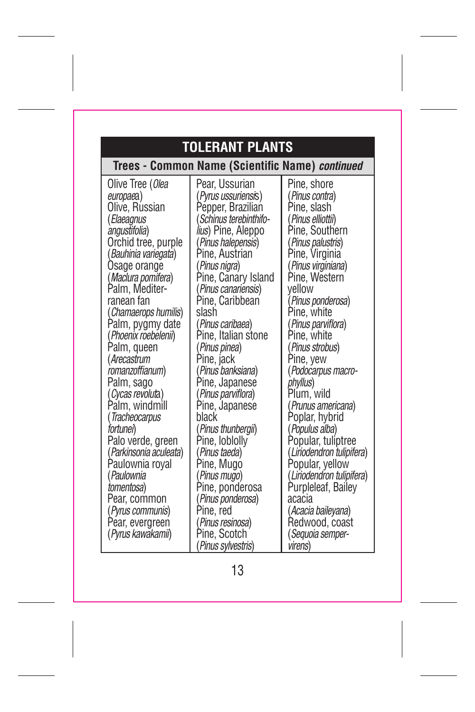|  |  |  | TOLERANT PLANTS |  |
|--|--|--|-----------------|--|
|  |  |  |                 |  |

## **Trees - Common Name (Scientific Name)** *continued*

| Olive Tree (Olea<br>europaea)<br>Olive. Russian<br>(Elaeagnus<br>angustifolia)<br>Orchid tree, purple<br>(Bauhinia variegata)<br>Osage orange<br>(Maclura pomifera)<br>Palm, Mediter-<br>ranean fan<br>(Chamaerops humilis)<br>Palm, pygmy date<br>(Phoenix roebelenii)<br>Palm, queen<br>(Arecastrum<br>romanzoffianum)<br>Palm, sago<br>(Cycas revoluta)<br>Palm, windmill<br>(Tracheocarpus<br>fortunei)<br>Palo verde, green<br>(Parkinsonia aculeata) | Pear, Ussurian<br>(Pvrus ussuriensis)<br>Pepper, Brazilian<br>Schinus terebinthifo-<br>lius) Pine, Aleppo<br>(Pinus halepensis)<br>Pine, Austrian<br>(Pinus nigra)<br>Pine, Canary Island<br>(Pinus canariensis)<br>Pine. Caribbean<br>slash<br>(Pinus caribaea)<br>Pine. Italian stone<br>(Pinus pinea)<br>Pine, jack<br>(Pinus banksiana)<br>Pine, Japanese<br>(Pinus parviflora)<br>Pine, Japanese<br>black<br>(Pinus thunbergii)<br>Pine, loblolly<br>(Pinus taeda) | Pine, shore<br>(Pinus contra)<br>Pine, slash<br>(Pinus elliottii)<br>Pine. Southern<br>(Pinus palustris)<br>Pine, Virginia<br>(Pinus virginiana)<br>Pine, Western<br>vellow<br>(Pinus ponderosa)<br>Pine, white<br>(Pinus parviflora)<br>Pine, white<br>(Pinus strobus)<br>Pine, yew<br>(Podocarpus macro-<br>phyllus)<br>Plum. wild<br>(Prunus americana)<br>Poplar, hybrid<br>(Populus alba)<br>Popular, tuliptree<br>(Liriodendron tulipifera) |
|------------------------------------------------------------------------------------------------------------------------------------------------------------------------------------------------------------------------------------------------------------------------------------------------------------------------------------------------------------------------------------------------------------------------------------------------------------|-------------------------------------------------------------------------------------------------------------------------------------------------------------------------------------------------------------------------------------------------------------------------------------------------------------------------------------------------------------------------------------------------------------------------------------------------------------------------|---------------------------------------------------------------------------------------------------------------------------------------------------------------------------------------------------------------------------------------------------------------------------------------------------------------------------------------------------------------------------------------------------------------------------------------------------|
|                                                                                                                                                                                                                                                                                                                                                                                                                                                            |                                                                                                                                                                                                                                                                                                                                                                                                                                                                         |                                                                                                                                                                                                                                                                                                                                                                                                                                                   |
|                                                                                                                                                                                                                                                                                                                                                                                                                                                            |                                                                                                                                                                                                                                                                                                                                                                                                                                                                         |                                                                                                                                                                                                                                                                                                                                                                                                                                                   |
| Paulownia royal                                                                                                                                                                                                                                                                                                                                                                                                                                            | Pine, Mugo                                                                                                                                                                                                                                                                                                                                                                                                                                                              | Popular, yellow                                                                                                                                                                                                                                                                                                                                                                                                                                   |
| (Paulownia<br>tomentosa)                                                                                                                                                                                                                                                                                                                                                                                                                                   | (Pinus muao)<br>Pine, ponderosa                                                                                                                                                                                                                                                                                                                                                                                                                                         | (Liriodendron tulipifera)<br>Purpleleaf, Bailey<br>acacia                                                                                                                                                                                                                                                                                                                                                                                         |
| Pear, common<br>(Pyrus communis)                                                                                                                                                                                                                                                                                                                                                                                                                           | (Pinus ponderosa)<br>Pine, red                                                                                                                                                                                                                                                                                                                                                                                                                                          | (Acacia baileyana)                                                                                                                                                                                                                                                                                                                                                                                                                                |
| Pear, evergreen<br>(Pyrus kawakamii)                                                                                                                                                                                                                                                                                                                                                                                                                       | (Pinus resinosa)<br>Pine, Scotch<br>(Pinus sylvestris)                                                                                                                                                                                                                                                                                                                                                                                                                  | Redwood, coast<br>(Seguoia semper-<br>virens)                                                                                                                                                                                                                                                                                                                                                                                                     |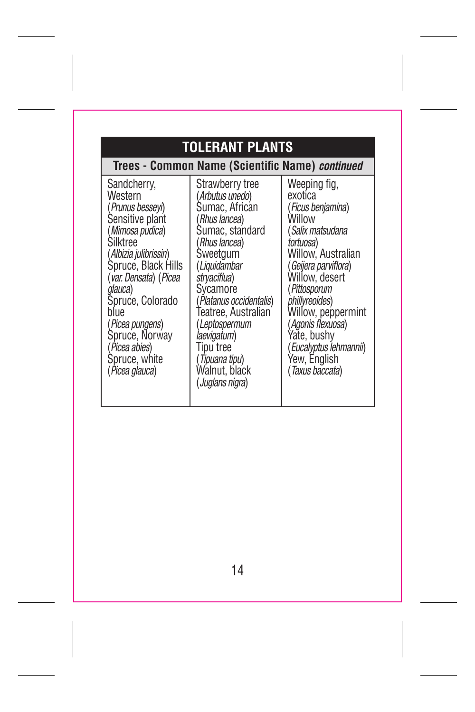**Trees - Common Name (Scientific Name)** *continued*

| Sandcherry,<br>Western<br>(Prunus bessevi)<br>Sensitive plant<br>(Mimosa pudica)<br>Silktree<br>(Albizia julibrissin)<br>Spruce, Black Hills<br>(var. Densata) (Picea<br><i>glauca</i> )<br>Spruce, Colorado<br>hfue<br>(Picea pungens)<br>Spruce, Norway<br>(Picea abies)<br>Spruce, white<br>(Picea glauca) | Strawberry tree<br>(Arbutus unedo)<br>Sumac, African<br>(Rhus lancea)<br>Sumac, standard<br>(Rhus lancea)<br>Sweetgum<br>(Liquidambar<br>strvaciflua)<br>Svcamore<br>(Platanus occidentalis)<br>Teatree. Australian<br>(Leptospermum<br>laevigatum)<br>Tipu tree<br>(Tipuana tipu)<br>Walnut, black<br>(Jualans nigra) | Weeping fig,<br>exotica<br>(Ficus beniamina)<br>Willow<br>Salix matsudana<br>tortuosa)<br>Willow. Australian<br>(Geijera parviflora)<br>Willow, desert<br>(Pittosporum<br><i>phillyreoides</i> )<br>Willow, peppermint<br>(Agonis flexuosa)<br>Yate, bushy<br>(Eucalvotus lehmannii)<br>Yew, English<br>(Taxus baccata) |
|---------------------------------------------------------------------------------------------------------------------------------------------------------------------------------------------------------------------------------------------------------------------------------------------------------------|------------------------------------------------------------------------------------------------------------------------------------------------------------------------------------------------------------------------------------------------------------------------------------------------------------------------|-------------------------------------------------------------------------------------------------------------------------------------------------------------------------------------------------------------------------------------------------------------------------------------------------------------------------|
|---------------------------------------------------------------------------------------------------------------------------------------------------------------------------------------------------------------------------------------------------------------------------------------------------------------|------------------------------------------------------------------------------------------------------------------------------------------------------------------------------------------------------------------------------------------------------------------------------------------------------------------------|-------------------------------------------------------------------------------------------------------------------------------------------------------------------------------------------------------------------------------------------------------------------------------------------------------------------------|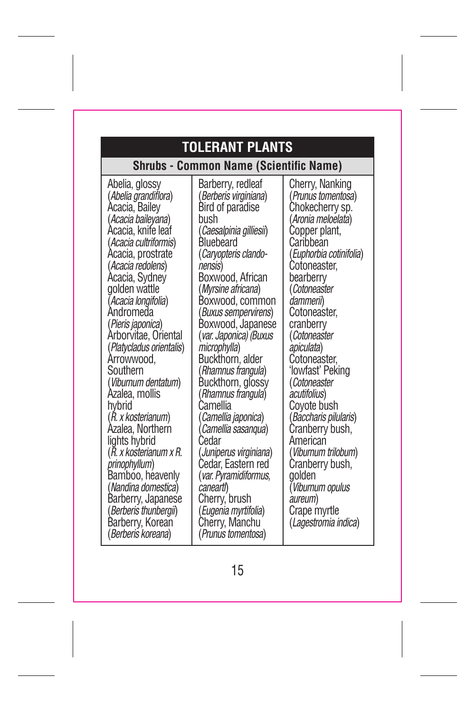|  |  |  | <b>TOLERANT PLANTS</b> |
|--|--|--|------------------------|
|  |  |  |                        |

## **Shrubs - Common Name (Scientific Name)**

| Abelia, glossy<br>(Abelia orandiflora)<br>Acacia, Bailey<br>(Acacia baileyana)<br>Acacia, knife leaf<br>(Acacia cultriformis)<br>Acacia, prostrate<br>(Acacia redolens)<br>Acacia, Sydney<br>golden wattle<br>(Acacia Iongifolia)<br>Andromeda<br>(Pieris japonica)<br>Arborvitae, Oriental<br>(Platycladus orientalis)<br>Arrowwood.<br>Southern<br>(Viburnum dentatum)<br>Azalea, mollis<br>hybrid<br>(R. x kosterianum)<br>Azalea, Northern<br>lights hybrid<br>(R. x kosterianum x R.<br>prinophyllum)<br>Bamboo, heavenly | Barberry, redleaf<br>(Berberis virginiana)<br>Bird of paradise<br>hush<br>(Caesalpinia gilliesii)<br>Bluebeard<br>(Caryopteris clando-<br>nensis)<br>Boxwood, African<br>(Myrsine africana)<br>Boxwood, common<br>(Buxus sempervirens)<br>Boxwood, Japanese<br>(var. Japonica) (Buxus<br>microphylla)<br>Buckthorn, alder<br>(Rhamnus frangula)<br>Buckthorn, glossy<br>(Rhamnus franqula)<br>Camellia<br>Camellia japonica)<br>Camellia sasangua)<br>Cedar<br>Juniperus virginiana)<br>Cedar, Eastern red<br>(var. Pyramidiformus, | Cherry, Nanking<br>(Prunus tomentosa)<br>Chokecherry sp.<br>(Aronia meloelata)<br>Copper plant,<br>Caribbean<br>(Euphorbia cotinifolia)<br>Cotoneaster.<br>bearberry<br>(Cotoneaster<br>dammerii)<br>Cotoneaster.<br>cranberry<br>(Cotoneaster<br><i>apiculata</i> )<br>Cotoneaster,<br>'lowfast' Peking<br>(Cotoneaster<br><i>acutifolius</i> )<br>Covote bush<br>(Baccharis pilularis)<br>Cranberry bush,<br>American<br>(Vibumum trilobum)<br>Cranberry bush,<br>aolden |
|--------------------------------------------------------------------------------------------------------------------------------------------------------------------------------------------------------------------------------------------------------------------------------------------------------------------------------------------------------------------------------------------------------------------------------------------------------------------------------------------------------------------------------|-------------------------------------------------------------------------------------------------------------------------------------------------------------------------------------------------------------------------------------------------------------------------------------------------------------------------------------------------------------------------------------------------------------------------------------------------------------------------------------------------------------------------------------|----------------------------------------------------------------------------------------------------------------------------------------------------------------------------------------------------------------------------------------------------------------------------------------------------------------------------------------------------------------------------------------------------------------------------------------------------------------------------|
|                                                                                                                                                                                                                                                                                                                                                                                                                                                                                                                                |                                                                                                                                                                                                                                                                                                                                                                                                                                                                                                                                     |                                                                                                                                                                                                                                                                                                                                                                                                                                                                            |
| (Nandina domestica)<br>Barberry, Japanese<br>(Berberis thunbergii)<br>Barberry, Korean<br>(Berberis koreana)                                                                                                                                                                                                                                                                                                                                                                                                                   | canearth<br>Cherry, brush<br>(Eugenia myrtifolia)<br>Cherry, Manchu<br>(Prunus tomentosa)                                                                                                                                                                                                                                                                                                                                                                                                                                           | (Vibumum opulus<br><i>aureum</i> )<br>Crape myrtle<br>(Lagestromia indica)                                                                                                                                                                                                                                                                                                                                                                                                 |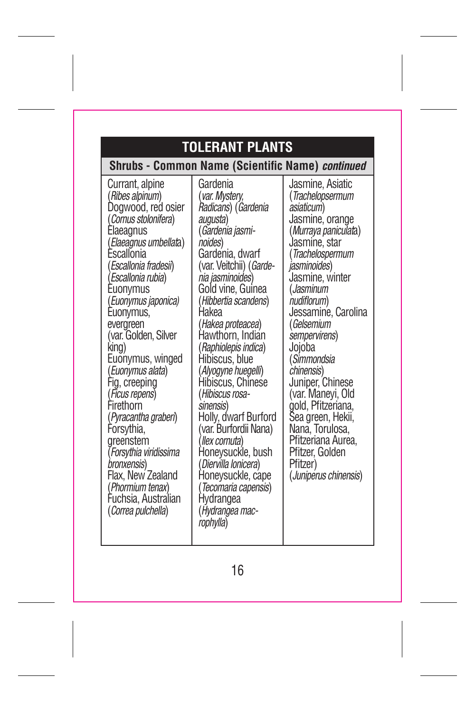#### **Shrubs - Common Name (Scientific Name)** *continued*

Currant, alpine (*Ribes alpinum*) Dogwood, red osier (*Cornus stolonifera*) Elaeagnus (*Elaeagnus umbellat*a) Escallonia<br>(*Escallonia fradesii*) (*Escallonia fradesii*) (*Escallonia rubia*) Euonymus (*Euonymus japonica)* Euonymus. evergreen (var. Golden, Silver king) Euonymus, winged (*Euonymus alata*) Fig, creeping (*Ficus repens*) **Firethorn** (*Pyracantha graberi*) Forsythia, greenstem (*Forsythia viridissima bronxensis*) Flax, New Zealand (*Phormium tenax*) Fuchsia, Australian (*Correa pulchella*)

Gardenia (*var. Mystery, Radicans*) (*Gardenia augusta*) (*Gardenia jasmi noides*) Gardenia, dwarf (var. Veitchii) (*Garde nia jasminoides*) Gold vine, Guinea (*Hibbertia scandens*) Hakea (*Hakea proteacea*) Hawthorn, Indian (*Raphiolepis indica*) Hibiscus, blue (*Alyogyne huegelli*) Hibiscus, Chinese (*Hibiscus rosasinensis*) Holly, dwarf Burford (var. Burfordii Nana) (*llex cornuta*) Honeysuckle, bush (*Diervilla lonicera*) Honeysuckle, cape (*Tecomaria capensis*) Hydrangea (*Hydrangea mac rophylla*)

Jasmine, Asiatic (*Trachelopsermum asiaticum*) Jasmine, orange (*Murraya paniculat*a) Jasmine, star (*Trachelospermum jasminoides*) Jasmine, winter (*Jasminum nudiflorum*) Jessamine, Carolina (*Gelsemium sempervirens*) Jojoba (*Simmondsia chinensis*) Juniper, Chinese (var. Maneyi, Old gold, Pfitzeriana, Sea green, Hekii, Nana, Torulosa, Pfitzeriana Aurea, Pfitzer, Golden Pfitzer) (*Juniperus chinensis*)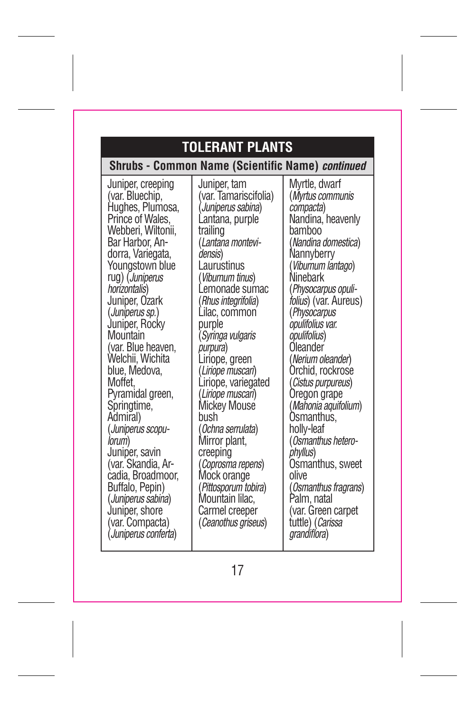#### **Shrubs - Common Name (Scientific Name)** *continued*

| Juniper, creeping    |
|----------------------|
| (var. Bluechip,      |
| Hughes, Plumosa,     |
| Prince of Wales,     |
| Webberi, Wiltonii,   |
| Bar Harbor, An-      |
| dorra, Variegata,    |
| Youngstown blue      |
| rug) (Juniperus      |
| horizontalis)        |
| Juniper, Ozark       |
| (Juniperus sp.)      |
| Juniper, Rocky       |
| Mountain             |
| (var. Blue heaven,   |
| Welchii, Wichita     |
| blue, Medova,        |
| Moffet,              |
| Pyramidal green,     |
| Springtime,          |
| Admiral)             |
| (Juniperus scopu-    |
| lorum)               |
| Juniper, savin       |
| (var. Skandia, Ar-   |
| cadia, Broadmoor,    |
| Buffalo, Pepin)      |
| (Juniperus sabina)   |
| Juniper, shore       |
| (var. Compacta)      |
| (Juniperus conferta) |

Juniper, tam (var. Tamariscifolia) (*Juniperus sabina*) Lantana, purple trailing (*Lantana montevi densis*) Laurustinus (*Viburnum tinus*) Lemonade sumac (*Rhus integrifolia*) Lilac, common purple (*Syringa vulgaris purpura*) Liriope, green (*Liriope muscari*) Liriope, variegated (*Liriope muscari*) Mickey Mouse bush (*Ochna serrulata*) Mirror plant, creeping (*Coprosma repens*) Mock orange (*Pittosporum tobira*) Mountain lilac, Carmel creeper (*Ceanothus griseus*)

Myrtle, dwarf (*Myrtus communis compacta*) Nandina, heavenly bamboo (*Nandina domestica*) **Nannyberry** (*Viburnum lantago*) Ninebark (*Physocarpus opuli folius*) (var. Aureus) (*Physocarpus opulifolius var. opulifolius*) Oleander (*Nerium oleander*) Orchid, rockrose (*Cistus purpureus*) Oregon grape (*Mahonia aquifolium*) Osmanthus, holly-leaf (*Osmanthus hetero phyllus*) Osmanthus, sweet olive (*Osmanthus fragrans*) Palm, natal (var. Green carpet tuttle) (*Carissa grandiflora*)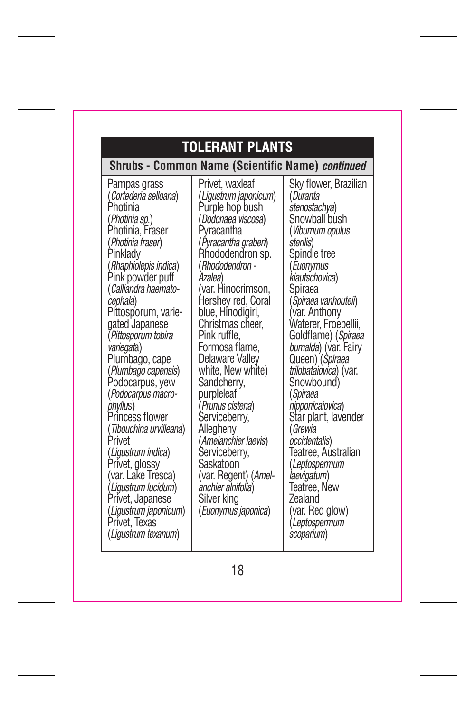# **Shrubs - Common Name (Scientific Name)** *continued*

| Pampas grass<br>(Cortederia selloana)<br>Photinia<br>(Photinia sp.)<br>Photinia, Fraser<br>(Photinia fraser)<br>Pinklady<br>(Rhaphiolepis indica)<br>Pink powder puff<br>(Calliandra haemato-<br>cephala)<br>Pittosporum, varie-<br>gated Japanese<br>(Pittosporum tobira<br>variegata)<br>Plumbago, cape<br>(Plumbago capensis)<br>Podocarpus, yew<br>(Podocarpus macro-<br>phyllus)<br>Princess flower<br>(Tibouchina urvilleana)<br>Privet<br>(Ligustrum indica)<br>Privet, glossy<br>(var. Lake Tresca)<br>(Ligustrum lucidum)<br>Privet, Japanese<br>(Liqustrum japonicum)<br>Privet. Texas<br>(Ligustrum texanum) | Privet. waxleaf<br>(Liqustrum japonicum)<br>Purple hop bush<br>(Dodonaea viscosa)<br>Pvracantha<br>(Pyracantha graberi)<br>Rhododendron sp.<br>Rhododendron -<br>Azalea)<br>(var. Hinocrimson,<br>Hershey red, Coral<br>blue, Hinodigiri,<br>Christmas cheer.<br>Pink ruffle.<br>Formosa flame.<br>Delaware Valley<br>white, New white)<br>Sandcherrv.<br>purpleleaf<br>(Prunus cistena)<br>Serviceberry,<br>Allegheny<br>(Amelanchier laevis)<br>Serviceberrv.<br>Saskatoon<br>(var. Regent) (Amel-<br>ànchier alnifolia)<br>Silver kina<br>(Euonymus japonica) | Sky flower, Brazilian<br>(Duranta<br>stenostachva)<br>Snowball bush<br>(Viburnum opulus<br>sterilis)<br>Spindle tree<br>(Euonvmus<br>kiautschovica)<br>Spiraea<br>(Spiraea vanhouteii)<br>(var. Anthony<br>Waterer. Froebellii.<br>Goldflame) (Spiraea<br><i>bumalda</i> ) (var. Fairy<br>Queen) (Spiraea<br>trilobataiovica) (var.<br>Snowbound)<br>(Spiraea<br>nipponicajovica)<br>Star plant, lavender<br>(Grewia<br>occidentalis)<br>Teatree. Australian<br>(Leptospermum<br>laevigatum)<br>Teatree. New<br>7ealand<br>(var. Red glow)<br>(Leptospermum<br>scoparium) |
|-------------------------------------------------------------------------------------------------------------------------------------------------------------------------------------------------------------------------------------------------------------------------------------------------------------------------------------------------------------------------------------------------------------------------------------------------------------------------------------------------------------------------------------------------------------------------------------------------------------------------|------------------------------------------------------------------------------------------------------------------------------------------------------------------------------------------------------------------------------------------------------------------------------------------------------------------------------------------------------------------------------------------------------------------------------------------------------------------------------------------------------------------------------------------------------------------|---------------------------------------------------------------------------------------------------------------------------------------------------------------------------------------------------------------------------------------------------------------------------------------------------------------------------------------------------------------------------------------------------------------------------------------------------------------------------------------------------------------------------------------------------------------------------|
|-------------------------------------------------------------------------------------------------------------------------------------------------------------------------------------------------------------------------------------------------------------------------------------------------------------------------------------------------------------------------------------------------------------------------------------------------------------------------------------------------------------------------------------------------------------------------------------------------------------------------|------------------------------------------------------------------------------------------------------------------------------------------------------------------------------------------------------------------------------------------------------------------------------------------------------------------------------------------------------------------------------------------------------------------------------------------------------------------------------------------------------------------------------------------------------------------|---------------------------------------------------------------------------------------------------------------------------------------------------------------------------------------------------------------------------------------------------------------------------------------------------------------------------------------------------------------------------------------------------------------------------------------------------------------------------------------------------------------------------------------------------------------------------|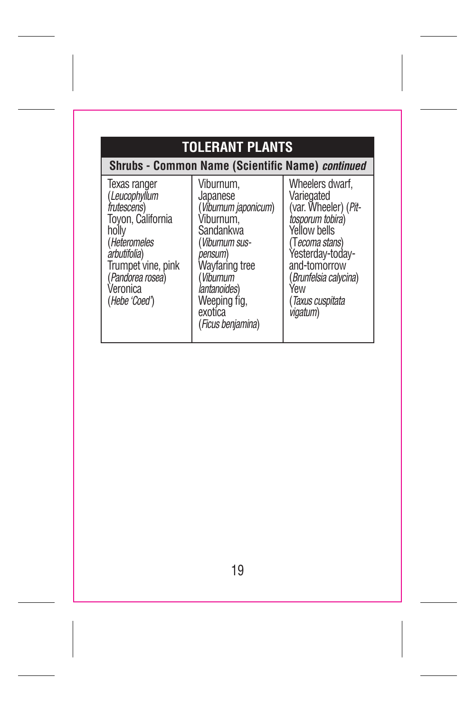# **Shrubs - Common Name (Scientific Name)** *continued*

Viburnum, Japanese (*Viburnum japonicum*) Viburnum, Sandankwa (*Viburnum sus pensum*)<br>Wayfaring tree (*Viburnum lantanoides*) Weeping fig, exotica (*Ficus benjamina*)

Wheelers dwarf, Variegated (var. Wheeler) (*Pit tosporum tobira*) Yellow bells (T*ecoma stans*) Yesterday-todayand-tomorrow (*Brunfelsia calycina*) Yew (*Taxus cuspitata vigatum*)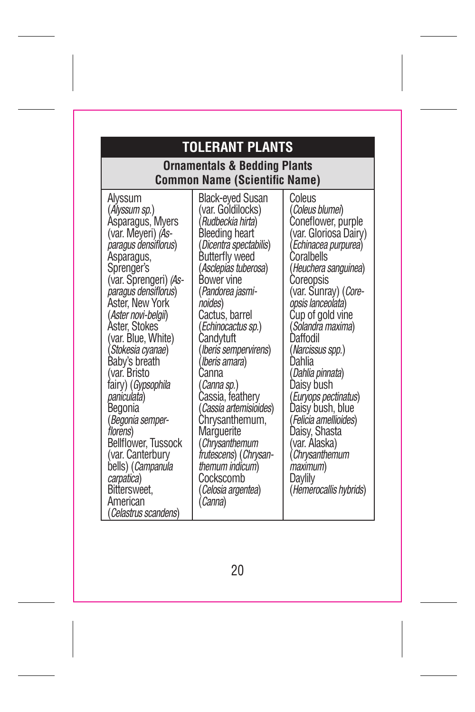#### **Ornamentals & Bedding Plants Common Name (Scientific Name)**

Alyssum (*Alyssum sp.*) Asparagus, Myers (var. Meyeri) *(As paragus densiflorus*) Asparagus, Sprenger's (var. Sprengeri) *(As paragus densiflorus*) Aster, New York (*Aster novi-belgii*) Aster, Stokes (var. Blue, White) (*Stokesia cyanae*) Baby's breath (var. Bristo fairy) (*Gypsophila paniculata*) Begonia (*Begonia semper florens*) Bellflower, Tussock (var. Canterbury bells) (*Campanula carpatica*) Bittersweet, American (*Celastrus scandens*)

Black-eyed Susan (var. Goldilocks) (*Rudbeckia hirta*) Bleeding heart (*Dicentra spectabilis*) Butterfly weed (*Asclepias tuberosa*) Bower vine (*Pandorea jasmi noides*) Cactus, barrel (*Echinocactus sp.*) Candytuft (*Iberis sempervirens*) (*Iberis amara*) Canna (*Canna sp.*) Cassia, feathery (*Cassia artemisioides*) Chrysanthemum, Marquerite (*Chrysanthemum frutescens*) (*Chrysan themum indicum*) Cockscomb (*Celosia argentea*) (*Canna*)

Coleus (*Coleus blumei*) Coneflower, purple (var. Gloriosa Dairy) (*Echinacea purpurea*) Coralbells (*Heuchera sanguinea*) Coreopsis (var. Sunray) (*Core opsis lanceolata*) Cup of gold vine (*Solandra maxima*) Daffodil (*Narcissus spp.*) Dahlia (*Dahlia pinnata*) Daisy bush (*Euryops pectinatus*) Daisy bush, blue (*Felicia amellioides*) Daisy, Shasta (var. Alaska) (*Chrysanthemum maximum*) **Davlily** (*Hemerocallis hybrids*)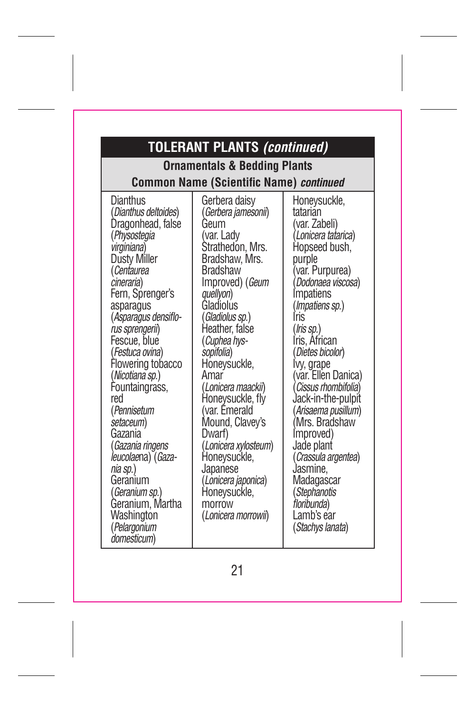| <b>TOLERANT PLANTS (continued)</b><br><b>Ornamentals &amp; Bedding Plants</b>                                                                                                                                                                                                                                                                                                                                                                                                                                       |                                                                                                                                                                                                                                                                                                                                                                                                                                                                                  |                                                                                                                                                                                                                                                                                                                                                                                                                                                                                                                |  |
|---------------------------------------------------------------------------------------------------------------------------------------------------------------------------------------------------------------------------------------------------------------------------------------------------------------------------------------------------------------------------------------------------------------------------------------------------------------------------------------------------------------------|----------------------------------------------------------------------------------------------------------------------------------------------------------------------------------------------------------------------------------------------------------------------------------------------------------------------------------------------------------------------------------------------------------------------------------------------------------------------------------|----------------------------------------------------------------------------------------------------------------------------------------------------------------------------------------------------------------------------------------------------------------------------------------------------------------------------------------------------------------------------------------------------------------------------------------------------------------------------------------------------------------|--|
|                                                                                                                                                                                                                                                                                                                                                                                                                                                                                                                     | <b>Common Name (Scientific Name)</b> continued                                                                                                                                                                                                                                                                                                                                                                                                                                   |                                                                                                                                                                                                                                                                                                                                                                                                                                                                                                                |  |
| Dianthus<br>(Dianthus deltoides)<br>Dragonhead, false<br>(Physostegia<br>virginiana)<br><b>Dusty Miller</b><br>(Centaurea<br>cineraria)<br>Fern, Sprenger's<br>asparagus<br>(Asparagus densiflo-<br>rus sprengerii)<br>Fescue, blué<br>(Festuca ovina)<br>Flowering tobacco<br>(Nicotiana sp.)<br>Fountaingrass,<br>red<br>(Pennisetum<br>setaceum)<br>Gazania<br>(Gazania ringens<br>leucolaena) (Gaza-<br>nia sp.)<br>Geranium<br>(Geranium sp.)<br>Geranium, Martha<br>Washington<br>(Pelargonium<br>domesticum) | Gerbera daisv<br>(Gerbera jamesonii)<br>Geum<br>(var. Ladv<br>Strathedon, Mrs.<br>Bradshaw, Mrs.<br>Bradshaw<br>Improved) (Geum<br><i>auellvon</i> )<br>Gladiolús<br>(Gladiolus sp.)<br>Heather, false<br>(Cuphea hys-<br>sopifolia)<br>Honeysuckle.<br>Amar<br>(Lonicera maackii)<br>Honeysuckle, fly<br>(var. Emerald<br>Mound, Clavey's<br>Dwarf)<br>(Lonicera xylosteum)<br>Honeysuckle,<br>Japanese<br>(Lonicera japonica)<br>Honeysuckle,<br>morrow<br>(Lonicera morrowii) | Honevsuckle.<br>tatarian<br>(var. Zabeli)<br>(Lonicera tatarica)<br>Hopseed bush.<br>purple<br>(var. Purpurea)<br>Dodonaea viscosa)<br>Impatiens<br>(Impatiens sp.)<br><b>fris</b><br>(Iris sp.)<br>Iris. African<br>(Dietes bicolor)<br>lvy, grape<br>(var. Ellen Danica)<br>Cissus rhombifolia)<br>Jack-in-the-pulpit<br>(Arisaema pusillum)<br>(Mrs. Bradshaw<br>(mproved)<br>Jade plant<br>(Crassula argentea)<br>Jasmine.<br>Madagascar<br>(Stephanotis<br>floribunda)<br>I amh's ear<br>(Stachys lanata) |  |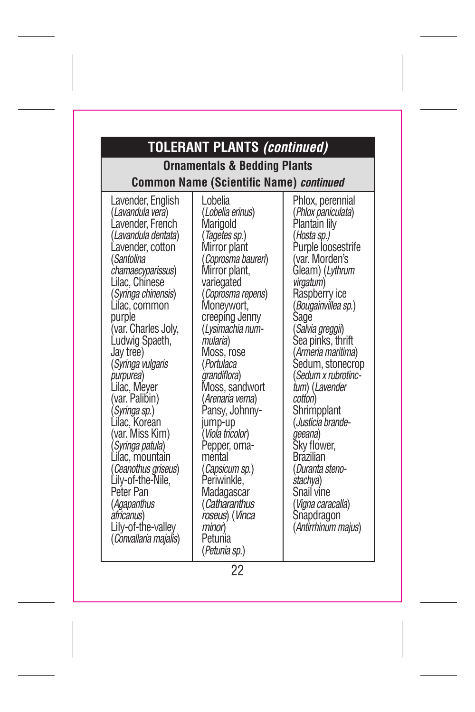| <b>TOLERANT PLANTS (continued)</b><br><b>Ornamentals &amp; Bedding Plants</b>                                                                                                                                                                                                                                                                                                                                                                                                                                                                                          |                                                                                                                                                                                                                                                                                                                                                                                                                                                                                                                         |                                                                                                                                                                                                                                                                                                                                                                                                                                                                                                                                        |  |
|------------------------------------------------------------------------------------------------------------------------------------------------------------------------------------------------------------------------------------------------------------------------------------------------------------------------------------------------------------------------------------------------------------------------------------------------------------------------------------------------------------------------------------------------------------------------|-------------------------------------------------------------------------------------------------------------------------------------------------------------------------------------------------------------------------------------------------------------------------------------------------------------------------------------------------------------------------------------------------------------------------------------------------------------------------------------------------------------------------|----------------------------------------------------------------------------------------------------------------------------------------------------------------------------------------------------------------------------------------------------------------------------------------------------------------------------------------------------------------------------------------------------------------------------------------------------------------------------------------------------------------------------------------|--|
|                                                                                                                                                                                                                                                                                                                                                                                                                                                                                                                                                                        | <b>Common Name (Scientific Name) continued</b>                                                                                                                                                                                                                                                                                                                                                                                                                                                                          |                                                                                                                                                                                                                                                                                                                                                                                                                                                                                                                                        |  |
| Lavender, English<br>(Lavandula vera)<br>Lavender, French<br>(Lavandula dentata)<br>Lavender, cotton<br>(Santolina<br>chamaecyparissus)<br>Lilac. Chinese<br>(Syringa chinensis)<br>Lilac. common<br>purple<br>(var. Charles Jolv.<br>Ludwig Spaeth,<br>Jav tree)<br>(Syringa vulgaris<br>purpurea)<br>Lilac, Meyer<br>(var. Palibin)<br>(Syringa sp.)<br>Lilac. Korean<br>(var. Miss Kim)<br>(Syringa patula)<br>Lilac. mountain<br>(Ceanothus griseus)<br>Lilv-of-the-Nile.<br>Peter Pan<br>(Agapanthus<br>africanus)<br>Lilv-of-the-vallev<br>(Convallaria maialis) | Lobelia<br>(Lobelia erinus)<br>Marigold<br>(Tagetes sp.)<br>Mirror plant<br>(Coprosma baureri)<br>Mirror plant,<br>variegated<br>(Coprosma repens)<br>Moneywort,<br>creeping Jenny<br>(Lysimachia num-<br><i>mularia</i> )<br>Moss, rose<br>(Portulaca<br><i>grandiflora</i> )<br>Moss, sandwort<br>(Arenaria verna)<br>Pansy, Johnny-<br>iump-up<br>(Viola tricolor)<br>Pepper, orna-<br>mental<br>(Capsicum sp.)<br>Periwinkle.<br>Madagascar<br>(Catharanthus<br>roseus) (Vinca<br>minor<br>Petunia<br>(Petunia sp.) | Phlox. perennial<br>(Phlox paniculata)<br>Plantain lilv<br>(Hosta sp.)<br>Purple loosestrife<br>(var. Morden's<br>Gleam) (Lythrum<br>virgatum)<br>Raspberry ice<br>(Bougainvillea sp.)<br>Sage<br>(Salvia greggii)<br>Sea pinks, thrift<br>(Armeria maritima)<br>Sedum, stonecrop<br>(Sedum x rubrotinc-<br>tum) (Lavender<br>cotton)<br>Shrimpplant<br>(Justicia brande-<br><i>deeana</i> )<br>Sky flower,<br><b>Brazilian</b><br>(Duranta steno-<br>stachya)<br>Snail vine<br>(Viana caracalla)<br>Snapdragon<br>(Antirrhinum maius) |  |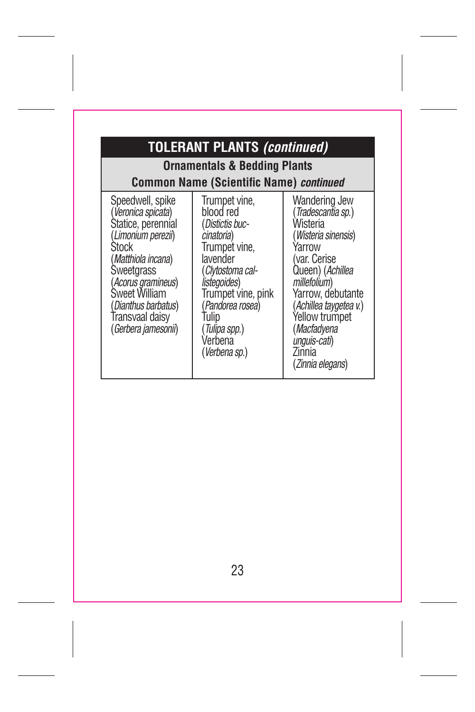| <b>TOLERANT PLANTS (continued)</b><br><b>Ornamentals &amp; Bedding Plants</b><br><b>Common Name (Scientific Name) continued</b>                                                                                                         |                                                                                                                                                                                                                                      |                                                                                                                                                                                                                                                                            |  |
|-----------------------------------------------------------------------------------------------------------------------------------------------------------------------------------------------------------------------------------------|--------------------------------------------------------------------------------------------------------------------------------------------------------------------------------------------------------------------------------------|----------------------------------------------------------------------------------------------------------------------------------------------------------------------------------------------------------------------------------------------------------------------------|--|
| Speedwell, spike<br>(Veronica spicata)<br>Statice, perennial<br>(Limonium perezii)<br>Stock<br>(Matthiola incana)<br>Sweetgrass<br>(Acorus gramineus)<br>Sweet William<br>(Dianthus barbatus)<br>Transvaal daisy<br>(Gerbera iamesonii) | Trumpet vine.<br>blood red<br>(Distictis buc-<br><i>cinatoria</i> )<br>Trumpet vine.<br>lavender<br>(Clvtostoma cal-<br>listegoides)<br>Trumpet vine, pink<br>(Pandorea rosea)<br>Tulio<br>(Tulipa spp.)<br>Verbena<br>(Verbena sp.) | Wandering Jew<br>(Tradescantia sp.)<br>Wisteria<br>(Wisteria sinensis)<br>Yarrow<br>(var. Cerise<br>Queen) (Achillea<br>millefolium)<br>Yarrow, debutante<br>(Achillea taygetea v.)<br>Yellow trumpet<br>(Macfadvena<br><i>unquis-cati</i> )<br>7innia<br>(Zinnia elegans) |  |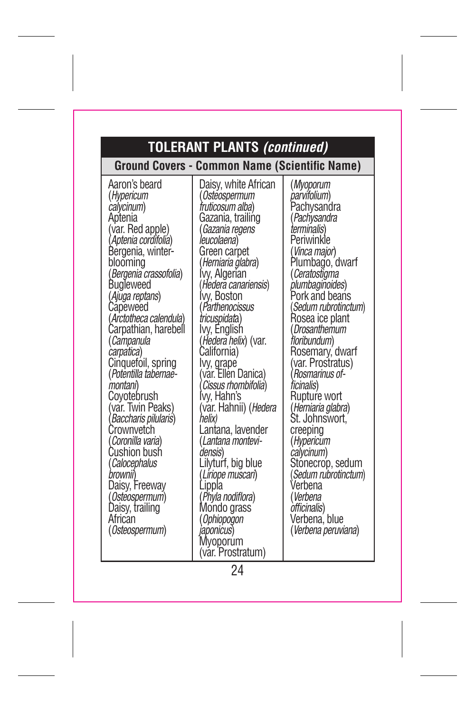|                                                                                                                                                                                                                                                                                                                                                                                                                                                                                                                                                                                 | <b>TOLERANT PLANTS (continued)</b>                                                                                                                                                                                                                                                                                                                                                                                                                                                                                                                                                                                                             |                                                                                                                                                                                                                                                                                                                                                                                                                                                                                                                                                                         |  |  |
|---------------------------------------------------------------------------------------------------------------------------------------------------------------------------------------------------------------------------------------------------------------------------------------------------------------------------------------------------------------------------------------------------------------------------------------------------------------------------------------------------------------------------------------------------------------------------------|------------------------------------------------------------------------------------------------------------------------------------------------------------------------------------------------------------------------------------------------------------------------------------------------------------------------------------------------------------------------------------------------------------------------------------------------------------------------------------------------------------------------------------------------------------------------------------------------------------------------------------------------|-------------------------------------------------------------------------------------------------------------------------------------------------------------------------------------------------------------------------------------------------------------------------------------------------------------------------------------------------------------------------------------------------------------------------------------------------------------------------------------------------------------------------------------------------------------------------|--|--|
| Ground Covers - Common Name (Scientific Name)                                                                                                                                                                                                                                                                                                                                                                                                                                                                                                                                   |                                                                                                                                                                                                                                                                                                                                                                                                                                                                                                                                                                                                                                                |                                                                                                                                                                                                                                                                                                                                                                                                                                                                                                                                                                         |  |  |
| Aaron's beard<br>(Hvpericum<br>calvcinum)<br>Aptenia<br>(var. Red apple)<br>(Aptenia cordifolia)<br>Bergenia, winter-<br>bloõmina<br>(Bergenia crassofolia)<br>Bualeweed<br>(Ajuga reptans)<br>Capeweed<br>(Arctotheca calendula)<br>Carpathian, harebell<br>(Campanula<br>carpatica)<br>Cinquefóil, spring<br>(Potentilla tabernae-<br>montani<br>Covotebrush<br>(var. Twin Peaks)<br>(Baccharis pilularis)<br>Crownvetch<br>(Coronilla varia)<br>Cushion bush<br>(Calocephalus<br>hrownii<br>Daisy, Freeway<br>(Osteospermum)<br>Daisy, trailing<br>African<br>(Osteospermum) | Daisy, white African<br>Osteospermum<br>fruticosum alba)<br>Gazania, trailino<br>Gazania regens<br>leucolaena)<br>Green carpet<br>(Hemiaria glabra)<br>Ivy, Algerian<br>(Hedera canariensis)<br>Iw. Boston<br>(Parthenocissus<br>tricuspidata)<br>Ivy, English<br>( <i>Hedera helix</i> ) (var.<br>California)<br>Iw, grape<br>(var. Ellen Danica)<br>Cissus rhombifolia)<br>lw. Hahn's<br>(var. Hahnii) (Hedera<br>helix)<br>Lantana. lavender<br>(Lantana montevi-<br>densis)<br>Lilyturf, big blue<br>(Liriope muscari)<br>Lippla<br>(Phyla nodiflora)<br>Mondo grass<br>(Ophiopoaon<br><i>iaponicus</i> )<br>Myoporum<br>(var. Prostratum) | (Myoporum<br>barvífolium)<br>Pachvsandra<br>(Pachysandra<br>terminalis)<br>Periwinkle<br>(Vinca maior)<br>Plumbago, dwarf<br>(Ceratostiama<br>plumbaginoides)<br>Pork and beans<br>(Sedum rubrotinctum)<br>Rosea ice plant<br>(Drosanthemum<br>floribundum)<br>Rosemary, dwarf<br>(var. Prostratus)<br>(Rosmarinus of-<br>ficinalis)<br>Rupture wort<br>(Herniaria glabra)<br>St. Johnswort.<br>creeping<br>(Hvpericum<br>calvcinum)<br>Stonecrop, sedum<br>(Sedum rubrotinctum)<br>Verhena<br>(Verbena<br><i>officinalis</i> )<br>Verbena, blue<br>(Verbena peruviana) |  |  |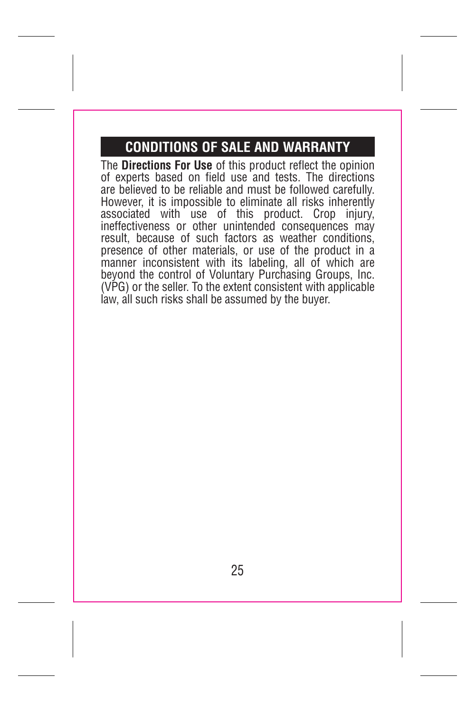## **CONDITIONS OF SALE AND WARRANTY**

The **Directions For Use** of this product reflect the opinion of experts based on field use and tests. The directions are believed to be reliable and must be followed carefully. However, it is impossible to eliminate all risks inherently associated with use of this product. Crop injury, ineffectiveness or other unintended consequences may result, because of such factors as weather conditions, presence of other materials, or use of the product in a manner inconsistent with its labeling, all of which are beyond the control of Voluntary Purchasing Groups, Inc. (VPG) or the seller. To the extent consistent with applicable law, all such risks shall be assumed by the buyer.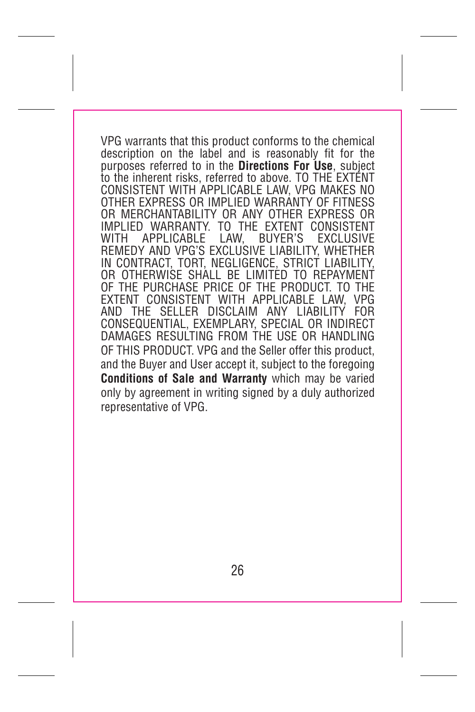VPG warrants that this product conforms to the chemical description on the label and is reasonably fit for the purposes referred to in the **Directions For Use**, subject to the inherent risks, referred to above. TO THE EXTENT CONSISTENT WITH APPLICABLE LAW, VPG MAKES NO OTHER EXPRESS OR IMPLIED WARRANTY OF FITNESS OR MERCHANTABILITY OR ANY OTHER EXPRESS OR IMPLIED WARRANTY. TO THE EXTENT CONSISTENT APPLICABLE REMEDY AND VPG'S EXCLUSIVE LIABILITY, WHETHER IN CONTRACT, TORT, NEGLIGENCE, STRICT LIABILITY, OR OTHERWISE SHALL BE LIMITED TO REPAYMENT OF THE PURCHASE PRICE OF THE PRODUCT. TO THE EXTENT CONSISTENT WITH APPLICABLE LAW, VPG AND THE SELLER DISCLAIM ANY LIABILITY FOR CONSEQUENTIAL, EXEMPLARY, SPECIAL OR INDIRECT DAMAGES RESULTING FROM THE USE OR HANDLING OF THIS PRODUCT. VPG and the Seller offer this product, and the Buyer and User accept it, subject to the foregoing **Conditions of Sale and Warranty** which may be varied only by agreement in writing signed by a duly authorized representative of VPG.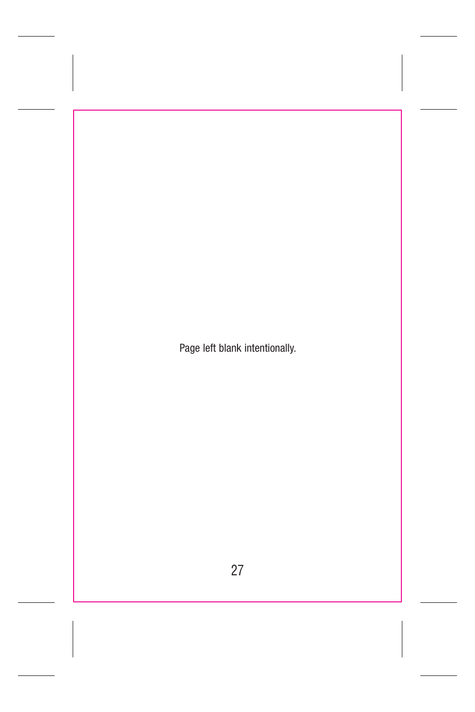